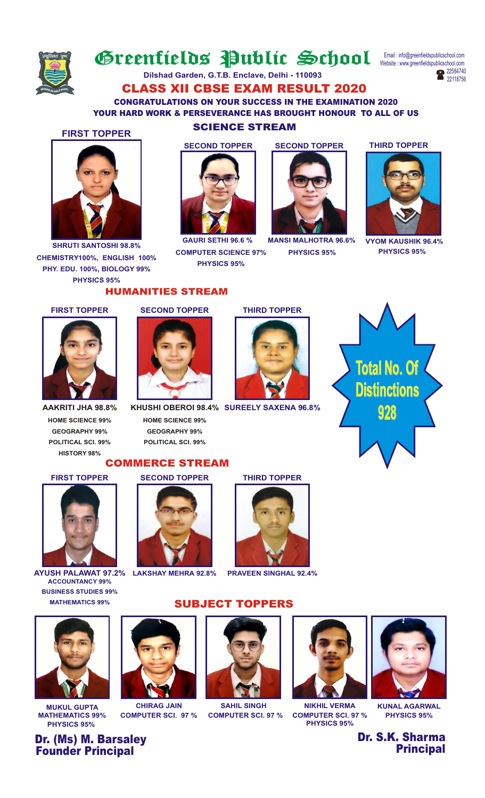

# Greentields Public School

Website : www.greenfieldspublicschool.com Email : info@greenfieldspublicschool.com



CLASS XII CBSE EXAM RESULT 2020 **Dilshad Garden, G.T.B. Enclave, Delhi - 110093**

CONGRATULATIONS ON YOUR SUCCESS IN THE EXAMINATION 2020 YOUR HARD WORK & PERSEVERANCE HAS BROUGHT HONOUR TO ALL OF US



**SHRUTI SANTOSHI 98.8% CHEMISTRY100%, ENGLISH 100% PHY. EDU. 100%, BIOLOGY 99% PHYSICS 95%**

## SCIENCE STREAM **FIRST TOPPER**



**COMPUTER SCIENCE 97% PHYSICS 95%**

**SECOND TOPPER SECOND TOPPER**



**GAURI SETHI 96.6 % MANSI MALHOTRA 96.6%**

**THIRD TOPPER**



**PHYSICS 95% PHYSICS 95% VYOM KAUSHIK 96.4%**

#### **FIRST TOPPER**



**HOME SCIENCE 99% GEOGRAPHY 99% POLITICAL SCI. 99% HISTORY 98%**

#### **SECOND TOPPER THIRD TOPPER**

HUMANITIES STREAM



**HOME SCIENCE 99% GEOGRAPHY 99% POLITICAL SCI. 99% SUREELY SAXENA 96.8% KHUSHI OBEROI 98.4%**

#### COMMERCE STREAM



**AYUSH PALAWAT 97.2% LAKSHAY MEHRA 92.8% PRAVEEN SINGHAL 92.4% ACCOUNTANCY 99% BUSINESS STUDIES 99% MATHEMATICS 99%**





**Total No. Of Distinctions 928**



### SUBJECT TOPPERS





**MATHEMATICS 99% COMPUTER SCI. 97 % COMPUTER SCI. 97 % COMPUTER SCI. 97 % PHYSICS 95%**



Dr. S.K. Sharma **Principal** 



**PHYSICS 95% PHYSICS 95%**

Dr. (Ms) M. Barsaley Founder Principal



**MUKUL GUPTA CHIRAG JAIN SAHIL SINGH NIKHIL VERMA KUNAL AGARWAL**